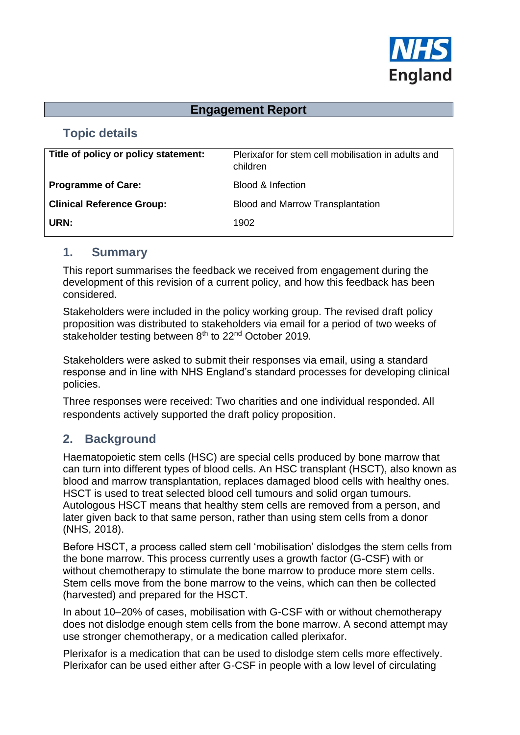

#### **Engagement Report**

### **Topic details**

| Title of policy or policy statement: | Plerixafor for stem cell mobilisation in adults and<br>children |
|--------------------------------------|-----------------------------------------------------------------|
| <b>Programme of Care:</b>            | Blood & Infection                                               |
| <b>Clinical Reference Group:</b>     | Blood and Marrow Transplantation                                |
| URN:                                 | 1902                                                            |

#### **1. Summary**

This report summarises the feedback we received from engagement during the development of this revision of a current policy, and how this feedback has been considered.

Stakeholders were included in the policy working group. The revised draft policy proposition was distributed to stakeholders via email for a period of two weeks of stakeholder testing between 8<sup>th</sup> to 22<sup>nd</sup> October 2019.

Stakeholders were asked to submit their responses via email, using a standard response and in line with NHS England's standard processes for developing clinical policies.

Three responses were received: Two charities and one individual responded. All respondents actively supported the draft policy proposition.

### **2. Background**

Haematopoietic stem cells (HSC) are special cells produced by bone marrow that can turn into different types of blood cells. An HSC transplant (HSCT), also known as blood and marrow transplantation, replaces damaged blood cells with healthy ones. HSCT is used to treat selected blood cell tumours and solid organ tumours. Autologous HSCT means that healthy stem cells are removed from a person, and later given back to that same person, rather than using stem cells from a donor (NHS, 2018).

Before HSCT, a process called stem cell 'mobilisation' dislodges the stem cells from the bone marrow. This process currently uses a growth factor (G-CSF) with or without chemotherapy to stimulate the bone marrow to produce more stem cells. Stem cells move from the bone marrow to the veins, which can then be collected (harvested) and prepared for the HSCT.

In about 10–20% of cases, mobilisation with G-CSF with or without chemotherapy does not dislodge enough stem cells from the bone marrow. A second attempt may use stronger chemotherapy, or a medication called plerixafor.

Plerixafor is a medication that can be used to dislodge stem cells more effectively. Plerixafor can be used either after G-CSF in people with a low level of circulating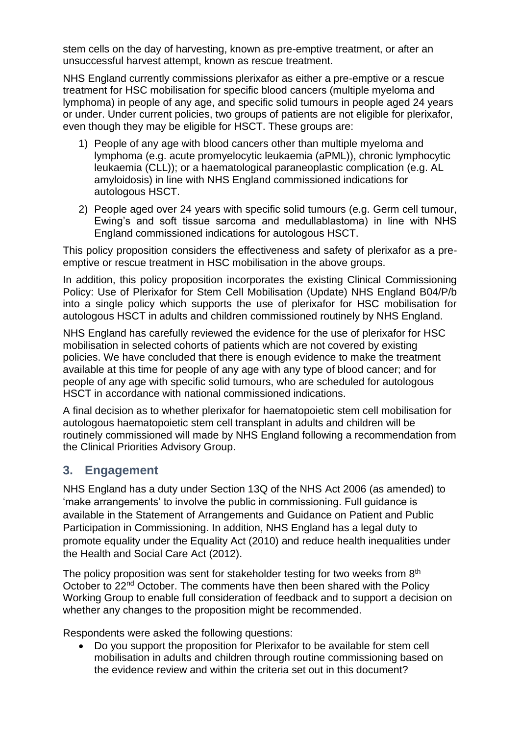stem cells on the day of harvesting, known as pre-emptive treatment, or after an unsuccessful harvest attempt, known as rescue treatment.

NHS England currently commissions plerixafor as either a pre-emptive or a rescue treatment for HSC mobilisation for specific blood cancers (multiple myeloma and lymphoma) in people of any age, and specific solid tumours in people aged 24 years or under. Under current policies, two groups of patients are not eligible for plerixafor, even though they may be eligible for HSCT. These groups are:

- 1) People of any age with blood cancers other than multiple myeloma and lymphoma (e.g. acute promyelocytic leukaemia (aPML)), chronic lymphocytic leukaemia (CLL)); or a haematological paraneoplastic complication (e.g. AL amyloidosis) in line with NHS England commissioned indications for autologous HSCT.
- 2) People aged over 24 years with specific solid tumours (e.g. Germ cell tumour, Ewing's and soft tissue sarcoma and medullablastoma) in line with NHS England commissioned indications for autologous HSCT.

This policy proposition considers the effectiveness and safety of plerixafor as a preemptive or rescue treatment in HSC mobilisation in the above groups.

In addition, this policy proposition incorporates the existing Clinical Commissioning Policy: Use of Plerixafor for Stem Cell Mobilisation (Update) NHS England B04/P/b into a single policy which supports the use of plerixafor for HSC mobilisation for autologous HSCT in adults and children commissioned routinely by NHS England.

NHS England has carefully reviewed the evidence for the use of plerixafor for HSC mobilisation in selected cohorts of patients which are not covered by existing policies. We have concluded that there is enough evidence to make the treatment available at this time for people of any age with any type of blood cancer; and for people of any age with specific solid tumours, who are scheduled for autologous HSCT in accordance with national commissioned indications.

A final decision as to whether plerixafor for haematopoietic stem cell mobilisation for autologous haematopoietic stem cell transplant in adults and children will be routinely commissioned will made by NHS England following a recommendation from the Clinical Priorities Advisory Group.

### **3. Engagement**

NHS England has a duty under Section 13Q of the NHS Act 2006 (as amended) to 'make arrangements' to involve the public in commissioning. Full guidance is available in the Statement of Arrangements and Guidance on Patient and Public Participation in Commissioning. In addition, NHS England has a legal duty to promote equality under the Equality Act (2010) and reduce health inequalities under the Health and Social Care Act (2012).

The policy proposition was sent for stakeholder testing for two weeks from  $8<sup>th</sup>$ October to 22<sup>nd</sup> October. The comments have then been shared with the Policy Working Group to enable full consideration of feedback and to support a decision on whether any changes to the proposition might be recommended.

Respondents were asked the following questions:

• Do you support the proposition for Plerixafor to be available for stem cell mobilisation in adults and children through routine commissioning based on the evidence review and within the criteria set out in this document?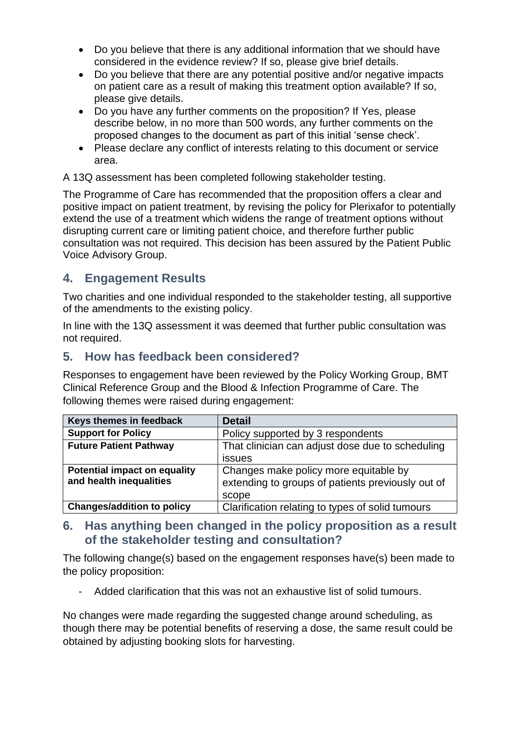- Do you believe that there is any additional information that we should have considered in the evidence review? If so, please give brief details.
- Do you believe that there are any potential positive and/or negative impacts on patient care as a result of making this treatment option available? If so, please give details.
- Do you have any further comments on the proposition? If Yes, please describe below, in no more than 500 words, any further comments on the proposed changes to the document as part of this initial 'sense check'.
- Please declare any conflict of interests relating to this document or service area.

A 13Q assessment has been completed following stakeholder testing.

The Programme of Care has recommended that the proposition offers a clear and positive impact on patient treatment, by revising the policy for Plerixafor to potentially extend the use of a treatment which widens the range of treatment options without disrupting current care or limiting patient choice, and therefore further public consultation was not required. This decision has been assured by the Patient Public Voice Advisory Group.

## **4. Engagement Results**

Two charities and one individual responded to the stakeholder testing, all supportive of the amendments to the existing policy.

In line with the 13Q assessment it was deemed that further public consultation was not required.

# **5. How has feedback been considered?**

Responses to engagement have been reviewed by the Policy Working Group, BMT Clinical Reference Group and the Blood & Infection Programme of Care. The following themes were raised during engagement:

| Keys themes in feedback             | <b>Detail</b>                                     |
|-------------------------------------|---------------------------------------------------|
| <b>Support for Policy</b>           | Policy supported by 3 respondents                 |
| <b>Future Patient Pathway</b>       | That clinician can adjust dose due to scheduling  |
|                                     | <b>issues</b>                                     |
| <b>Potential impact on equality</b> | Changes make policy more equitable by             |
| and health inequalities             | extending to groups of patients previously out of |
|                                     | scope                                             |
| <b>Changes/addition to policy</b>   | Clarification relating to types of solid tumours  |

### **6. Has anything been changed in the policy proposition as a result of the stakeholder testing and consultation?**

The following change(s) based on the engagement responses have(s) been made to the policy proposition:

- Added clarification that this was not an exhaustive list of solid tumours.

No changes were made regarding the suggested change around scheduling, as though there may be potential benefits of reserving a dose, the same result could be obtained by adjusting booking slots for harvesting.